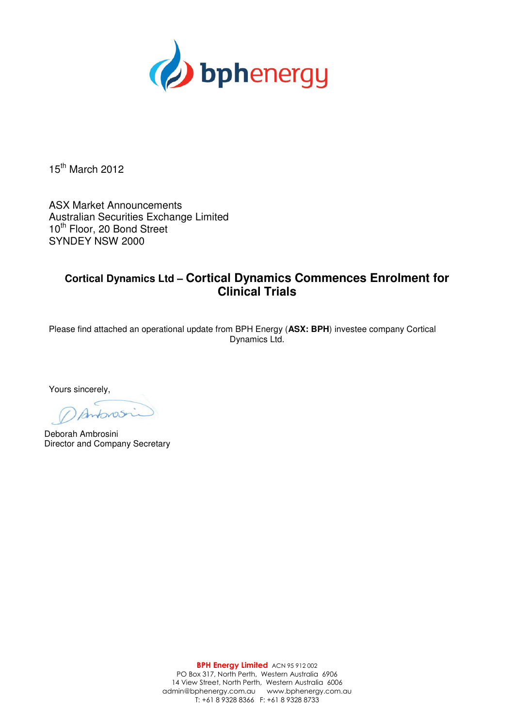

15<sup>th</sup> March 2012

ASX Market Announcements Australian Securities Exchange Limited 10<sup>th</sup> Floor, 20 Bond Street SYNDEY NSW 2000

# **Cortical Dynamics Ltd – Cortical Dynamics Commences Enrolment for Clinical Trials**

Please find attached an operational update from BPH Energy (**ASX: BPH**) investee company Cortical Dynamics Ltd.

Yours sincerely,

 $b$ 25

Deborah Ambrosini Director and Company Secretary

BPH Energy Limited ACN 95 912 002 PO Box 317, North Perth, Western Australia 6906 14 View Street, North Perth, Western Australia 6006 admin@bphenergy.com.au www.bphenergy.com.au T: +61 8 9328 8366 F: +61 8 9328 8733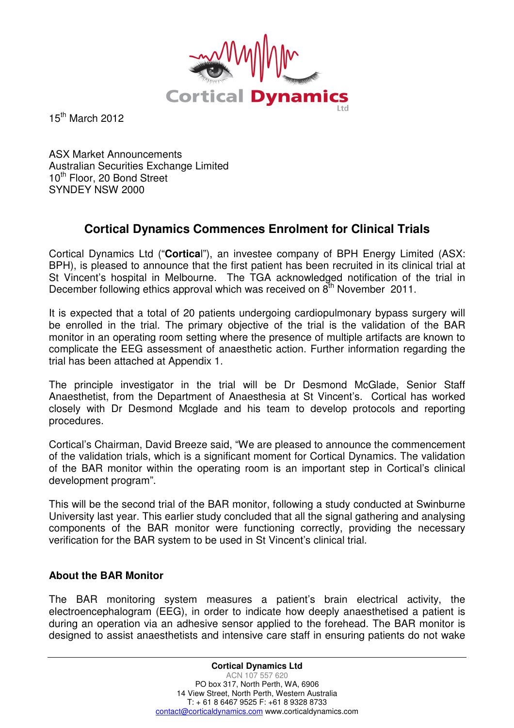

 $15<sup>th</sup>$  March 2012

ASX Market Announcements Australian Securities Exchange Limited 10<sup>th</sup> Floor, 20 Bond Street SYNDEY NSW 2000

# **Cortical Dynamics Commences Enrolment for Clinical Trials**

Cortical Dynamics Ltd ("**Cortica**l"), an investee company of BPH Energy Limited (ASX: BPH), is pleased to announce that the first patient has been recruited in its clinical trial at St Vincent's hospital in Melbourne. The TGA acknowledged notification of the trial in December following ethics approval which was received on  $8<sup>th</sup>$  November 2011.

It is expected that a total of 20 patients undergoing cardiopulmonary bypass surgery will be enrolled in the trial. The primary objective of the trial is the validation of the BAR monitor in an operating room setting where the presence of multiple artifacts are known to complicate the EEG assessment of anaesthetic action. Further information regarding the trial has been attached at Appendix 1.

The principle investigator in the trial will be Dr Desmond McGlade, Senior Staff Anaesthetist, from the Department of Anaesthesia at St Vincent's. Cortical has worked closely with Dr Desmond Mcglade and his team to develop protocols and reporting procedures.

Cortical's Chairman, David Breeze said, "We are pleased to announce the commencement of the validation trials, which is a significant moment for Cortical Dynamics. The validation of the BAR monitor within the operating room is an important step in Cortical's clinical development program".

This will be the second trial of the BAR monitor, following a study conducted at Swinburne University last year. This earlier study concluded that all the signal gathering and analysing components of the BAR monitor were functioning correctly, providing the necessary verification for the BAR system to be used in St Vincent's clinical trial.

### **About the BAR Monitor**

The BAR monitoring system measures a patient's brain electrical activity, the electroencephalogram (EEG), in order to indicate how deeply anaesthetised a patient is during an operation via an adhesive sensor applied to the forehead. The BAR monitor is designed to assist anaesthetists and intensive care staff in ensuring patients do not wake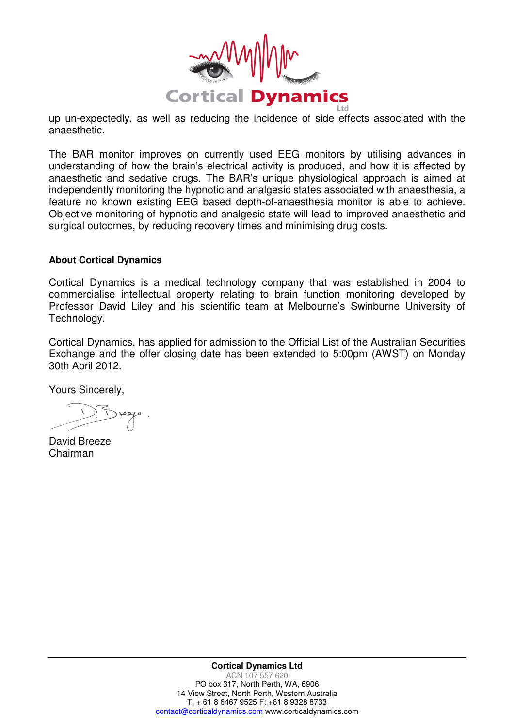

up un-expectedly, as well as reducing the incidence of side effects associated with the anaesthetic.

The BAR monitor improves on currently used EEG monitors by utilising advances in understanding of how the brain's electrical activity is produced, and how it is affected by anaesthetic and sedative drugs. The BAR's unique physiological approach is aimed at independently monitoring the hypnotic and analgesic states associated with anaesthesia, a feature no known existing EEG based depth-of-anaesthesia monitor is able to achieve. Objective monitoring of hypnotic and analgesic state will lead to improved anaesthetic and surgical outcomes, by reducing recovery times and minimising drug costs.

#### **About Cortical Dynamics**

Cortical Dynamics is a medical technology company that was established in 2004 to commercialise intellectual property relating to brain function monitoring developed by Professor David Liley and his scientific team at Melbourne's Swinburne University of Technology.

Cortical Dynamics, has applied for admission to the Official List of the Australian Securities Exchange and the offer closing date has been extended to 5:00pm (AWST) on Monday 30th April 2012.

Yours Sincerely,

David Breeze Chairman